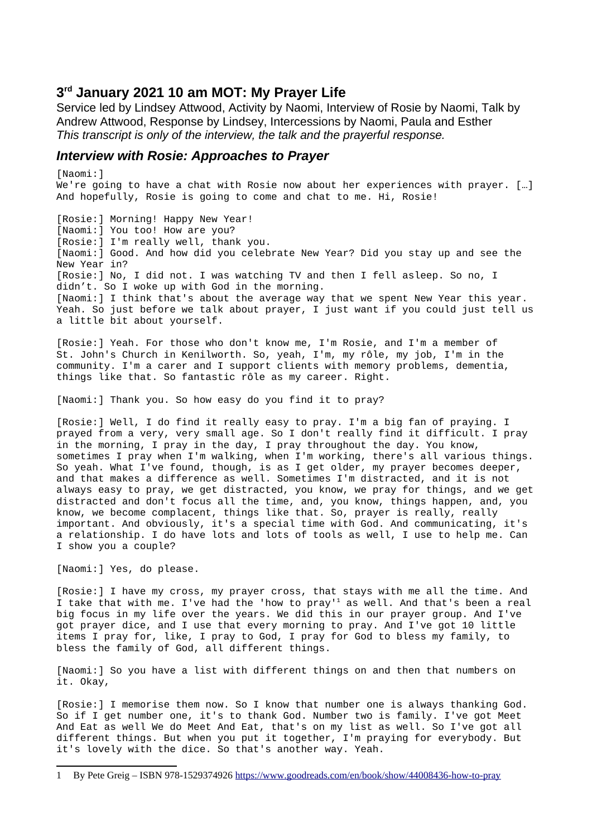# **3 rd January 2021 10 am MOT: My Prayer Life**

Service led by Lindsey Attwood, Activity by Naomi, Interview of Rosie by Naomi, Talk by Andrew Attwood, Response by Lindsey, Intercessions by Naomi, Paula and Esther *This transcript is only of the interview, the talk and the prayerful response.*

## *Interview with Rosie: Approaches to Prayer*

[Naomi:] We're going to have a chat with Rosie now about her experiences with prayer. […] And hopefully, Rosie is going to come and chat to me. Hi, Rosie!

[Rosie:] Morning! Happy New Year! [Naomi:] You too! How are you? [Rosie:] I'm really well, thank you. [Naomi:] Good. And how did you celebrate New Year? Did you stay up and see the New Year in? [Rosie:] No, I did not. I was watching TV and then I fell asleep. So no, I didn't. So I woke up with God in the morning. [Naomi:] I think that's about the average way that we spent New Year this year. Yeah. So just before we talk about prayer, I just want if you could just tell us a little bit about yourself.

[Rosie:] Yeah. For those who don't know me, I'm Rosie, and I'm a member of St. John's Church in Kenilworth. So, yeah, I'm, my rôle, my job, I'm in the community. I'm a carer and I support clients with memory problems, dementia, things like that. So fantastic rôle as my career. Right.

[Naomi:] Thank you. So how easy do you find it to pray?

[Rosie:] Well, I do find it really easy to pray. I'm a big fan of praying. I prayed from a very, very small age. So I don't really find it difficult. I pray in the morning, I pray in the day, I pray throughout the day. You know, sometimes I pray when I'm walking, when I'm working, there's all various things. So yeah. What I've found, though, is as I get older, my prayer becomes deeper, and that makes a difference as well. Sometimes I'm distracted, and it is not always easy to pray, we get distracted, you know, we pray for things, and we get distracted and don't focus all the time, and, you know, things happen, and, you know, we become complacent, things like that. So, prayer is really, really important. And obviously, it's a special time with God. And communicating, it's a relationship. I do have lots and lots of tools as well, I use to help me. Can I show you a couple?

[Naomi:] Yes, do please.

[Rosie:] I have my cross, my prayer cross, that stays with me all the time. And I take that with me. I've had the 'how to pray'<sup>[1](#page-0-0)</sup> as well. And that's been a real big focus in my life over the years. We did this in our prayer group. And I've got prayer dice, and I use that every morning to pray. And I've got 10 little items I pray for, like, I pray to God, I pray for God to bless my family, to bless the family of God, all different things.

[Naomi:] So you have a list with different things on and then that numbers on it. Okay,

[Rosie:] I memorise them now. So I know that number one is always thanking God. So if I get number one, it's to thank God. Number two is family. I've got Meet And Eat as well We do Meet And Eat, that's on my list as well. So I've got all different things. But when you put it together, I'm praying for everybody. But it's lovely with the dice. So that's another way. Yeah.

<span id="page-0-0"></span><sup>1</sup> By Pete Greig – ISBN 978-1529374926<https://www.goodreads.com/en/book/show/44008436-how-to-pray>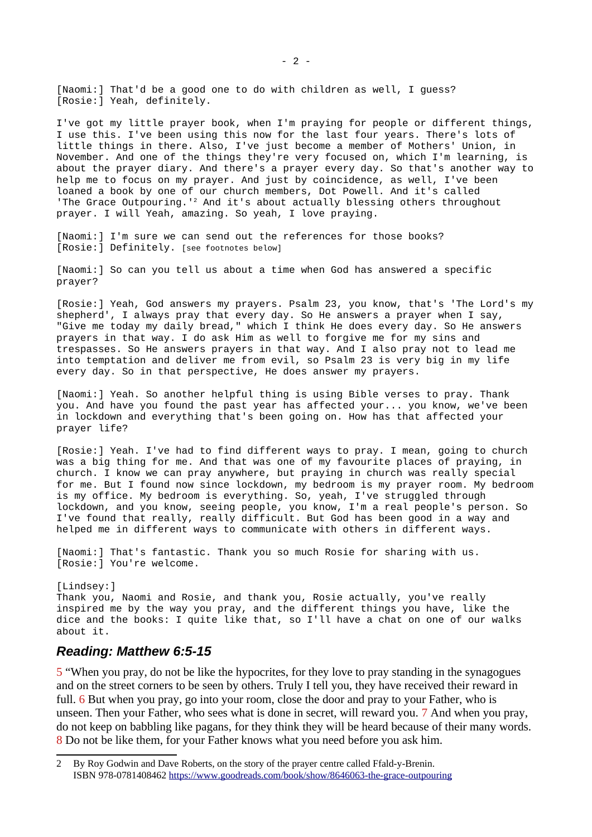[Naomi:] That'd be a good one to do with children as well, I guess? [Rosie:] Yeah, definitely.

I've got my little prayer book, when I'm praying for people or different things, I use this. I've been using this now for the last four years. There's lots of little things in there. Also, I've just become a member of Mothers' Union, in November. And one of the things they're very focused on, which I'm learning, is about the prayer diary. And there's a prayer every day. So that's another way to help me to focus on my prayer. And just by coincidence, as well, I've been loaned a book by one of our church members, Dot Powell. And it's called 'The Grace Outpouring.'[2](#page-1-0) And it's about actually blessing others throughout prayer. I will Yeah, amazing. So yeah, I love praying.

[Naomi:] I'm sure we can send out the references for those books? [Rosie:] Definitely. [see footnotes below]

[Naomi:] So can you tell us about a time when God has answered a specific prayer?

[Rosie:] Yeah, God answers my prayers. Psalm 23, you know, that's 'The Lord's my shepherd', I always pray that every day. So He answers a prayer when I say, "Give me today my daily bread," which I think He does every day. So He answers prayers in that way. I do ask Him as well to forgive me for my sins and trespasses. So He answers prayers in that way. And I also pray not to lead me into temptation and deliver me from evil, so Psalm 23 is very big in my life every day. So in that perspective, He does answer my prayers.

[Naomi:] Yeah. So another helpful thing is using Bible verses to pray. Thank you. And have you found the past year has affected your... you know, we've been in lockdown and everything that's been going on. How has that affected your prayer life?

[Rosie:] Yeah. I've had to find different ways to pray. I mean, going to church was a big thing for me. And that was one of my favourite places of praying, in church. I know we can pray anywhere, but praying in church was really special for me. But I found now since lockdown, my bedroom is my prayer room. My bedroom is my office. My bedroom is everything. So, yeah, I've struggled through lockdown, and you know, seeing people, you know, I'm a real people's person. So I've found that really, really difficult. But God has been good in a way and helped me in different ways to communicate with others in different ways.

[Naomi:] That's fantastic. Thank you so much Rosie for sharing with us. [Rosie:] You're welcome.

[Lindsey:] Thank you, Naomi and Rosie, and thank you, Rosie actually, you've really inspired me by the way you pray, and the different things you have, like the dice and the books: I quite like that, so I'll have a chat on one of our walks about it.

## *Reading: Matthew 6:5-15*

5 "When you pray, do not be like the hypocrites, for they love to pray standing in the synagogues and on the street corners to be seen by others. Truly I tell you, they have received their reward in full. 6 But when you pray, go into your room, close the door and pray to your Father, who is unseen. Then your Father, who sees what is done in secret, will reward you. 7 And when you pray, do not keep on babbling like pagans, for they think they will be heard because of their many words. 8 Do not be like them, for your Father knows what you need before you ask him.

<span id="page-1-0"></span><sup>2</sup> By Roy Godwin and Dave Roberts, on the story of the prayer centre called Ffald-y-Brenin. ISBN 978-0781408462 <https://www.goodreads.com/book/show/8646063-the-grace-outpouring>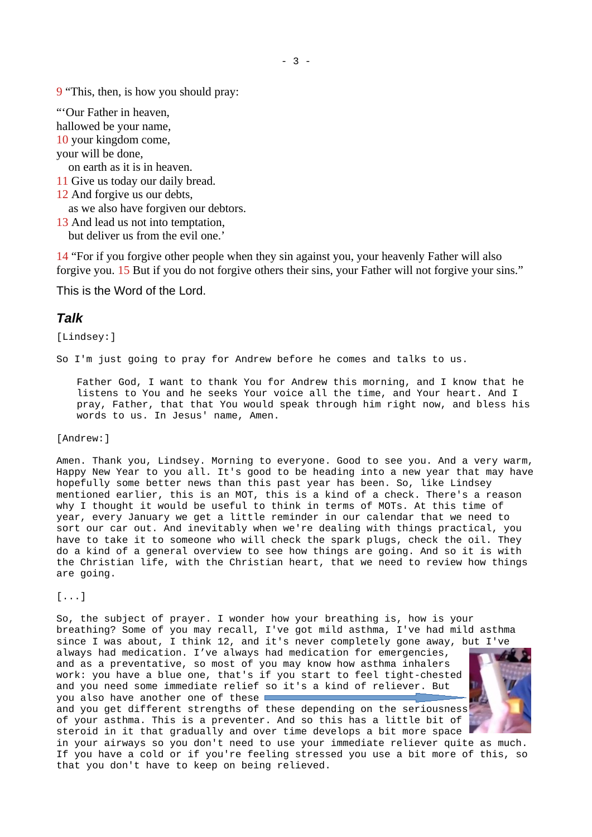9 "This, then, is how you should pray:

"'Our Father in heaven, hallowed be your name, 10 your kingdom come, your will be done,

on earth as it is in heaven.

11 Give us today our daily bread.

12 And forgive us our debts,

as we also have forgiven our debtors.

13 And lead us not into temptation,

but deliver us from the evil one.'

14 "For if you forgive other people when they sin against you, your heavenly Father will also forgive you. 15 But if you do not forgive others their sins, your Father will not forgive your sins."

This is the Word of the Lord.

## *Talk*

[Lindsey:]

So I'm just going to pray for Andrew before he comes and talks to us.

Father God, I want to thank You for Andrew this morning, and I know that he listens to You and he seeks Your voice all the time, and Your heart. And I pray, Father, that that You would speak through him right now, and bless his words to us. In Jesus' name, Amen.

### [Andrew:]

Amen. Thank you, Lindsey. Morning to everyone. Good to see you. And a very warm, Happy New Year to you all. It's good to be heading into a new year that may have hopefully some better news than this past year has been. So, like Lindsey mentioned earlier, this is an MOT, this is a kind of a check. There's a reason why I thought it would be useful to think in terms of MOTs. At this time of year, every January we get a little reminder in our calendar that we need to sort our car out. And inevitably when we're dealing with things practical, you have to take it to someone who will check the spark plugs, check the oil. They do a kind of a general overview to see how things are going. And so it is with the Christian life, with the Christian heart, that we need to review how things are going.

 $[\ldots]$ 

So, the subject of prayer. I wonder how your breathing is, how is your breathing? Some of you may recall, I've got mild asthma, I've had mild asthma since I was about, I think 12, and it's never completely gone away, but I've always had medication. I've always had medication for emergencies, and as a preventative, so most of you may know how asthma inhalers work: you have a blue one, that's if you start to feel tight-chested and you need some immediate relief so it's a kind of reliever. But you also have another one of these and you get different strengths of these depending on the seriousness of your asthma. This is a preventer. And so this has a little bit of steroid in it that gradually and over time develops a bit more space in your airways so you don't need to use your immediate reliever quite as much. If you have a cold or if you're feeling stressed you use a bit more of this, so that you don't have to keep on being relieved.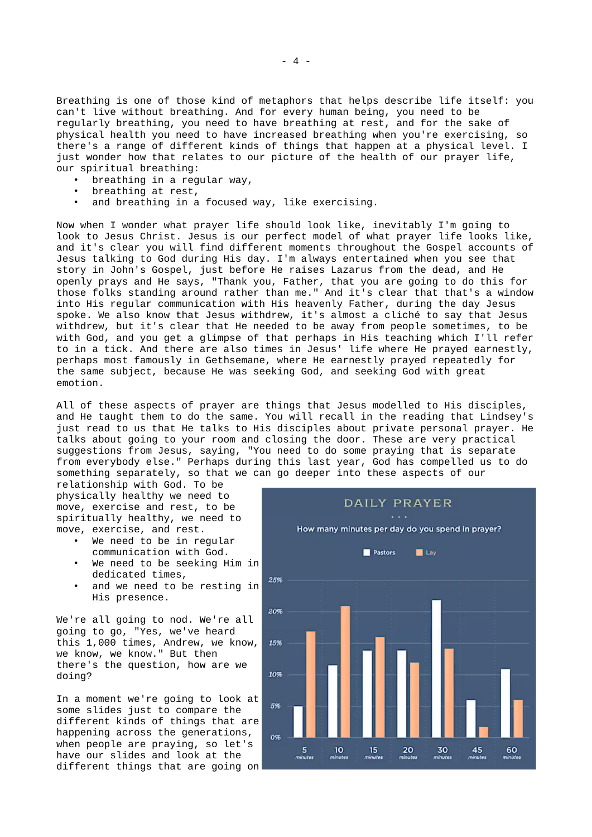Breathing is one of those kind of metaphors that helps describe life itself: you can't live without breathing. And for every human being, you need to be regularly breathing, you need to have breathing at rest, and for the sake of physical health you need to have increased breathing when you're exercising, so there's a range of different kinds of things that happen at a physical level. I just wonder how that relates to our picture of the health of our prayer life, our spiritual breathing:

- breathing in a regular way,
- breathing at rest,
- and breathing in a focused way, like exercising.

Now when I wonder what prayer life should look like, inevitably I'm going to look to Jesus Christ. Jesus is our perfect model of what prayer life looks like, and it's clear you will find different moments throughout the Gospel accounts of Jesus talking to God during His day. I'm always entertained when you see that story in John's Gospel, just before He raises Lazarus from the dead, and He openly prays and He says, "Thank you, Father, that you are going to do this for those folks standing around rather than me." And it's clear that that's a window into His regular communication with His heavenly Father, during the day Jesus spoke. We also know that Jesus withdrew, it's almost a cliché to say that Jesus withdrew, but it's clear that He needed to be away from people sometimes, to be with God, and you get a glimpse of that perhaps in His teaching which I'll refer to in a tick. And there are also times in Jesus' life where He prayed earnestly, perhaps most famously in Gethsemane, where He earnestly prayed repeatedly for the same subject, because He was seeking God, and seeking God with great emotion.

All of these aspects of prayer are things that Jesus modelled to His disciples, and He taught them to do the same. You will recall in the reading that Lindsey's just read to us that He talks to His disciples about private personal prayer. He talks about going to your room and closing the door. These are very practical suggestions from Jesus, saying, "You need to do some praying that is separate from everybody else." Perhaps during this last year, God has compelled us to do something separately, so that we can go deeper into these aspects of our

relationship with God. To be physically healthy we need to move, exercise and rest, to be spiritually healthy, we need to move, exercise, and rest.

- We need to be in regular communication with God.
- We need to be seeking Him in dedicated times,
- and we need to be resting in His presence.

We're all going to nod. We're all going to go, "Yes, we've heard this 1,000 times, Andrew, we know, we know, we know." But then there's the question, how are we doing?

In a moment we're going to look at some slides just to compare the different kinds of things that are happening across the generations, when people are praying, so let's have our slides and look at the different things that are going on

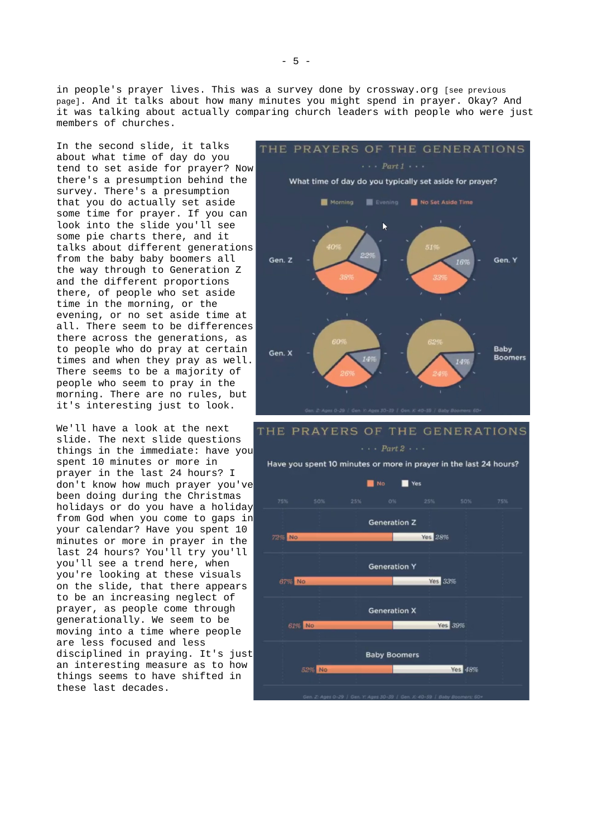in people's prayer lives. This was a survey done by crossway.org [see previous page]. And it talks about how many minutes you might spend in prayer. Okay? And it was talking about actually comparing church leaders with people who were just members of churches.

In the second slide, it talks about what time of day do you tend to set aside for prayer? Now there's a presumption behind the survey. There's a presumption that you do actually set aside some time for prayer. If you can look into the slide you'll see some pie charts there, and it talks about different generations from the baby baby boomers all the way through to Generation Z and the different proportions there, of people who set aside time in the morning, or the evening, or no set aside time at all. There seem to be differences there across the generations, as to people who do pray at certain times and when they pray as well. There seems to be a majority of people who seem to pray in the morning. There are no rules, but it's interesting just to look.

We'll have a look at the next slide. The next slide questions things in the immediate: have you spent 10 minutes or more in prayer in the last 24 hours? I don't know how much prayer you've been doing during the Christmas holidays or do you have a holiday from God when you come to gaps in your calendar? Have you spent 10 minutes or more in prayer in the last 24 hours? You'll try you'll you'll see a trend here, when you're looking at these visuals on the slide, that there appears to be an increasing neglect of prayer, as people come through generationally. We seem to be moving into a time where people are less focused and less disciplined in praying. It's just an interesting measure as to how things seems to have shifted in these last decades.



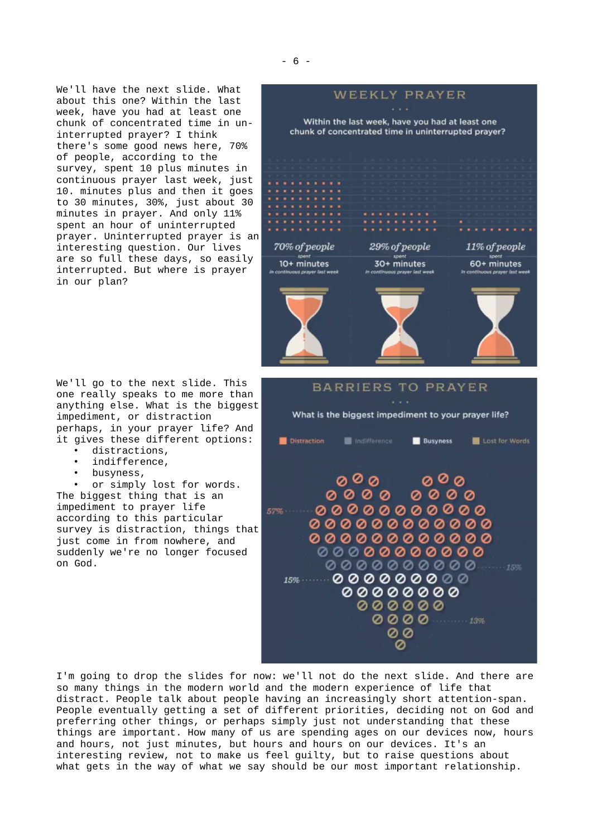We'll have the next slide. What about this one? Within the last week, have you had at least one chunk of concentrated time in uninterrupted prayer? I think there's some good news here, 70% of people, according to the survey, spent 10 plus minutes in continuous prayer last week, just 10. minutes plus and then it goes to 30 minutes, 30%, just about 30 minutes in prayer. And only 11% spent an hour of uninterrupted prayer. Uninterrupted prayer is an interesting question. Our lives are so full these days, so easily interrupted. But where is prayer in our plan?

We'll go to the next slide. This one really speaks to me more than anything else. What is the biggest impediment, or distraction perhaps, in your prayer life? And it gives these different options:

- distractions,
- indifference,
- busyness,

or simply lost for words. The biggest thing that is an impediment to prayer life according to this particular survey is distraction, things that just come in from nowhere, and suddenly we're no longer focused on God.



000000

00 Ø

0000 13%

I'm going to drop the slides for now: we'll not do the next slide. And there are so many things in the modern world and the modern experience of life that distract. People talk about people having an increasingly short attention-span. People eventually getting a set of different priorities, deciding not on God and preferring other things, or perhaps simply just not understanding that these things are important. How many of us are spending ages on our devices now, hours and hours, not just minutes, but hours and hours on our devices. It's an interesting review, not to make us feel guilty, but to raise questions about what gets in the way of what we say should be our most important relationship.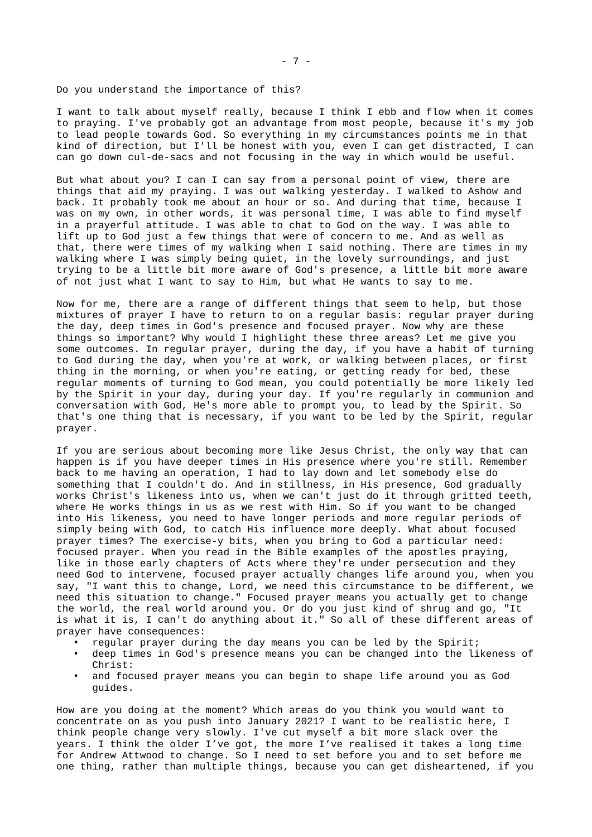Do you understand the importance of this?

I want to talk about myself really, because I think I ebb and flow when it comes to praying. I've probably got an advantage from most people, because it's my job to lead people towards God. So everything in my circumstances points me in that kind of direction, but I'll be honest with you, even I can get distracted, I can can go down cul-de-sacs and not focusing in the way in which would be useful.

But what about you? I can I can say from a personal point of view, there are things that aid my praying. I was out walking yesterday. I walked to Ashow and back. It probably took me about an hour or so. And during that time, because I was on my own, in other words, it was personal time, I was able to find myself in a prayerful attitude. I was able to chat to God on the way. I was able to lift up to God just a few things that were of concern to me. And as well as that, there were times of my walking when I said nothing. There are times in my walking where I was simply being quiet, in the lovely surroundings, and just trying to be a little bit more aware of God's presence, a little bit more aware of not just what I want to say to Him, but what He wants to say to me.

Now for me, there are a range of different things that seem to help, but those mixtures of prayer I have to return to on a regular basis: regular prayer during the day, deep times in God's presence and focused prayer. Now why are these things so important? Why would I highlight these three areas? Let me give you some outcomes. In regular prayer, during the day, if you have a habit of turning to God during the day, when you're at work, or walking between places, or first thing in the morning, or when you're eating, or getting ready for bed, these regular moments of turning to God mean, you could potentially be more likely led by the Spirit in your day, during your day. If you're regularly in communion and conversation with God, He's more able to prompt you, to lead by the Spirit. So that's one thing that is necessary, if you want to be led by the Spirit, regular prayer.

If you are serious about becoming more like Jesus Christ, the only way that can happen is if you have deeper times in His presence where you're still. Remember back to me having an operation, I had to lay down and let somebody else do something that I couldn't do. And in stillness, in His presence, God gradually works Christ's likeness into us, when we can't just do it through gritted teeth, where He works things in us as we rest with Him. So if you want to be changed into His likeness, you need to have longer periods and more regular periods of simply being with God, to catch His influence more deeply. What about focused prayer times? The exercise-y bits, when you bring to God a particular need: focused prayer. When you read in the Bible examples of the apostles praying, like in those early chapters of Acts where they're under persecution and they need God to intervene, focused prayer actually changes life around you, when you say, "I want this to change, Lord, we need this circumstance to be different, we need this situation to change." Focused prayer means you actually get to change the world, the real world around you. Or do you just kind of shrug and go, "It is what it is, I can't do anything about it." So all of these different areas of prayer have consequences:

- regular prayer during the day means you can be led by the Spirit;
- deep times in God's presence means you can be changed into the likeness of Christ:
- and focused prayer means you can begin to shape life around you as God guides.

How are you doing at the moment? Which areas do you think you would want to concentrate on as you push into January 2021? I want to be realistic here, I think people change very slowly. I've cut myself a bit more slack over the years. I think the older I've got, the more I've realised it takes a long time for Andrew Attwood to change. So I need to set before you and to set before me one thing, rather than multiple things, because you can get disheartened, if you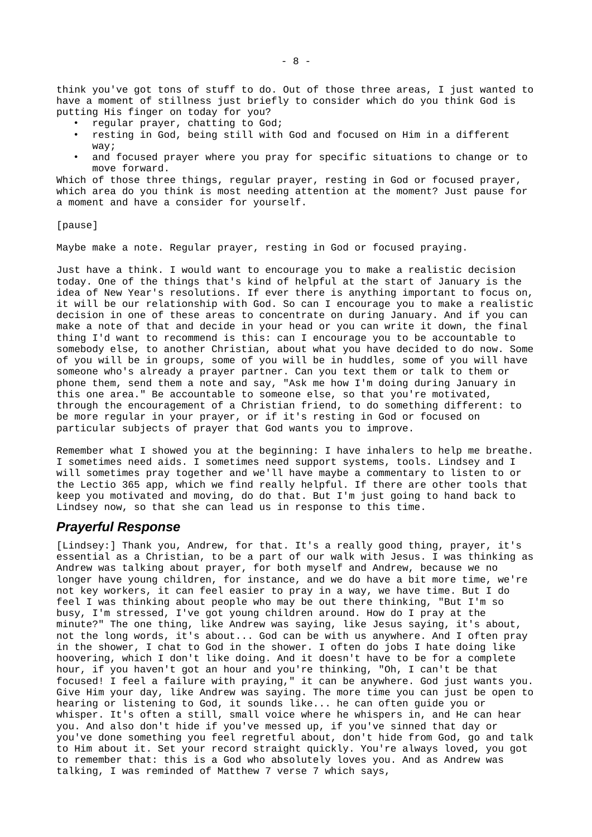think you've got tons of stuff to do. Out of those three areas, I just wanted to have a moment of stillness just briefly to consider which do you think God is putting His finger on today for you?

- regular prayer, chatting to God;
- resting in God, being still with God and focused on Him in a different way;
- and focused prayer where you pray for specific situations to change or to move forward.

Which of those three things, regular prayer, resting in God or focused prayer, which area do you think is most needing attention at the moment? Just pause for a moment and have a consider for yourself.

### [pause]

Maybe make a note. Regular prayer, resting in God or focused praying.

Just have a think. I would want to encourage you to make a realistic decision today. One of the things that's kind of helpful at the start of January is the idea of New Year's resolutions. If ever there is anything important to focus on, it will be our relationship with God. So can I encourage you to make a realistic decision in one of these areas to concentrate on during January. And if you can make a note of that and decide in your head or you can write it down, the final thing I'd want to recommend is this: can I encourage you to be accountable to somebody else, to another Christian, about what you have decided to do now. Some of you will be in groups, some of you will be in huddles, some of you will have someone who's already a prayer partner. Can you text them or talk to them or phone them, send them a note and say, "Ask me how I'm doing during January in this one area." Be accountable to someone else, so that you're motivated, through the encouragement of a Christian friend, to do something different: to be more regular in your prayer, or if it's resting in God or focused on particular subjects of prayer that God wants you to improve.

Remember what I showed you at the beginning: I have inhalers to help me breathe. I sometimes need aids. I sometimes need support systems, tools. Lindsey and I will sometimes pray together and we'll have maybe a commentary to listen to or the Lectio 365 app, which we find really helpful. If there are other tools that keep you motivated and moving, do do that. But I'm just going to hand back to Lindsey now, so that she can lead us in response to this time.

## *Prayerful Response*

[Lindsey:] Thank you, Andrew, for that. It's a really good thing, prayer, it's essential as a Christian, to be a part of our walk with Jesus. I was thinking as Andrew was talking about prayer, for both myself and Andrew, because we no longer have young children, for instance, and we do have a bit more time, we're not key workers, it can feel easier to pray in a way, we have time. But I do feel I was thinking about people who may be out there thinking, "But I'm so busy, I'm stressed, I've got young children around. How do I pray at the minute?" The one thing, like Andrew was saying, like Jesus saying, it's about, not the long words, it's about... God can be with us anywhere. And I often pray in the shower, I chat to God in the shower. I often do jobs I hate doing like hoovering, which I don't like doing. And it doesn't have to be for a complete hour, if you haven't got an hour and you're thinking, "Oh, I can't be that focused! I feel a failure with praying," it can be anywhere. God just wants you. Give Him your day, like Andrew was saying. The more time you can just be open to hearing or listening to God, it sounds like... he can often guide you or whisper. It's often a still, small voice where he whispers in, and He can hear you. And also don't hide if you've messed up, if you've sinned that day or you've done something you feel regretful about, don't hide from God, go and talk to Him about it. Set your record straight quickly. You're always loved, you got to remember that: this is a God who absolutely loves you. And as Andrew was talking, I was reminded of Matthew 7 verse 7 which says,